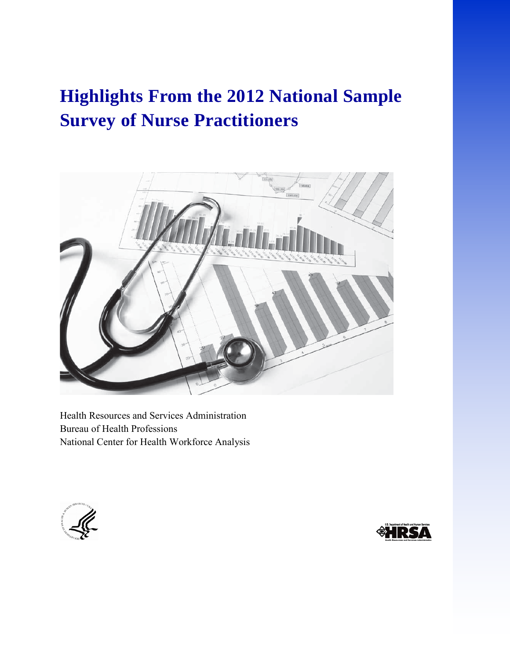# **Highlights From the 2012 National Sample Survey of Nurse Practitioners**



Health Resources and Services Administration Bureau of Health Professions National Center for Health Workforce Analysis



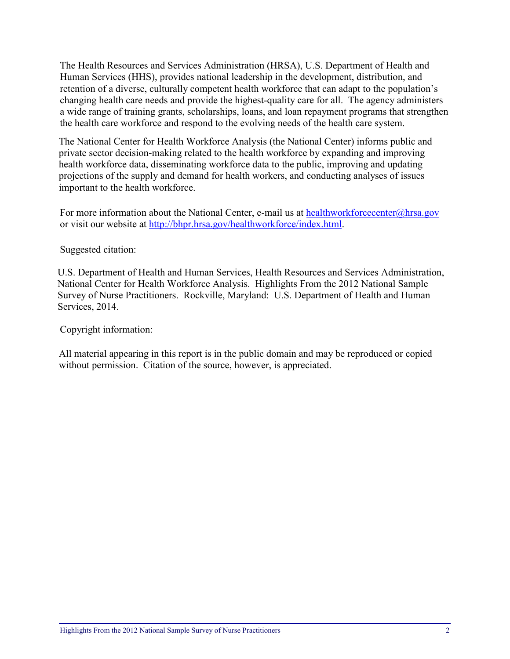The Health Resources and Services Administration (HRSA), U.S. Department of Health and Human Services (HHS), provides national leadership in the development, distribution, and retention of a diverse, culturally competent health workforce that can adapt to the population's changing health care needs and provide the highest-quality care for all. The agency administers a wide range of training grants, scholarships, loans, and loan repayment programs that strengthen the health care workforce and respond to the evolving needs of the health care system.

The National Center for Health Workforce Analysis (the National Center) informs public and private sector decision-making related to the health workforce by expanding and improving health workforce data, disseminating workforce data to the public, improving and updating projections of the supply and demand for health workers, and conducting analyses of issues important to the health workforce.

For more information about the National Center, e-mail us at [healthworkforcecenter@hrsa.gov](mailto:healthworkforcecenter@hrsa.gov) or visit our website at [http://bhpr.hrsa.gov/healthworkforce/index.html.](http://bhpr.hrsa.gov/healthworkforce/index.html)

#### Suggested citation:

U.S. Department of Health and Human Services, Health Resources and Services Administration, National Center for Health Workforce Analysis. Highlights From the 2012 National Sample Survey of Nurse Practitioners. Rockville, Maryland: U.S. Department of Health and Human Services, 2014.

Copyright information:

All material appearing in this report is in the public domain and may be reproduced or copied without permission. Citation of the source, however, is appreciated.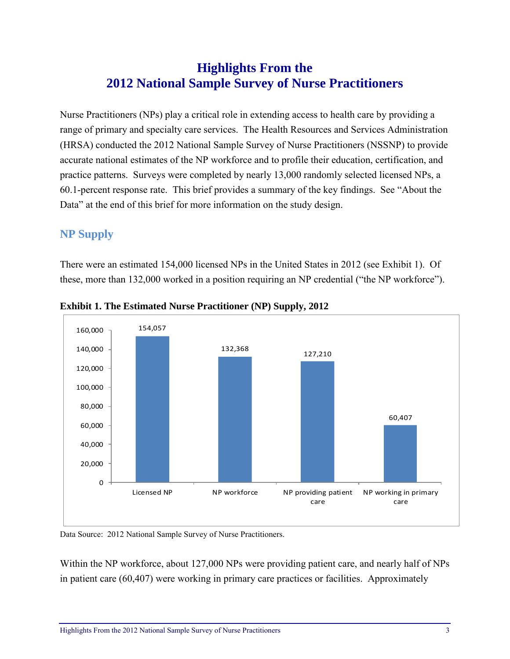## **Highlights From the 2012 National Sample Survey of Nurse Practitioners**

Nurse Practitioners (NPs) play a critical role in extending access to health care by providing a range of primary and specialty care services. The Health Resources and Services Administration (HRSA) conducted the 2012 National Sample Survey of Nurse Practitioners (NSSNP) to provide accurate national estimates of the NP workforce and to profile their education, certification, and practice patterns. Surveys were completed by nearly 13,000 randomly selected licensed NPs, a 60.1-percent response rate. This brief provides a summary of the key findings. See "About the Data" at the end of this brief for more information on the study design.

## **NP Supply**

There were an estimated 154,000 licensed NPs in the United States in 2012 (see Exhibit 1). Of these, more than 132,000 worked in a position requiring an NP credential ("the NP workforce").



**Exhibit 1. The Estimated Nurse Practitioner (NP) Supply, 2012** 

Data Source: 2012 National Sample Survey of Nurse Practitioners.

Within the NP workforce, about 127,000 NPs were providing patient care, and nearly half of NPs in patient care (60,407) were working in primary care practices or facilities. Approximately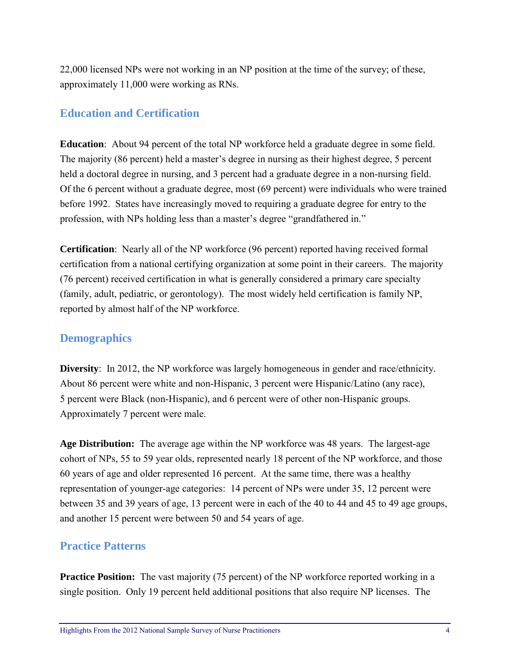22,000 licensed NPs were not working in an NP position at the time of the survey; of these, approximately 11,000 were working as RNs.

## **Education and Certification**

**Education**: About 94 percent of the total NP workforce held a graduate degree in some field. The majority (86 percent) held a master's degree in nursing as their highest degree, 5 percent held a doctoral degree in nursing, and 3 percent had a graduate degree in a non-nursing field. Of the 6 percent without a graduate degree, most (69 percent) were individuals who were trained before 1992. States have increasingly moved to requiring a graduate degree for entry to the profession, with NPs holding less than a master's degree "grandfathered in."

**Certification**: Nearly all of the NP workforce (96 percent) reported having received formal certification from a national certifying organization at some point in their careers. The majority (76 percent) received certification in what is generally considered a primary care specialty (family, adult, pediatric, or gerontology). The most widely held certification is family NP, reported by almost half of the NP workforce.

## **Demographics**

**Diversity**: In 2012, the NP workforce was largely homogeneous in gender and race/ethnicity. About 86 percent were white and non-Hispanic, 3 percent were Hispanic/Latino (any race), 5 percent were Black (non-Hispanic), and 6 percent were of other non-Hispanic groups. Approximately 7 percent were male.

**Age Distribution:** The average age within the NP workforce was 48 years. The largest-age cohort of NPs, 55 to 59 year olds, represented nearly 18 percent of the NP workforce, and those 60 years of age and older represented 16 percent. At the same time, there was a healthy representation of younger-age categories: 14 percent of NPs were under 35, 12 percent were between 35 and 39 years of age, 13 percent were in each of the 40 to 44 and 45 to 49 age groups, and another 15 percent were between 50 and 54 years of age.

### **Practice Patterns**

**Practice Position:** The vast majority (75 percent) of the NP workforce reported working in a single position. Only 19 percent held additional positions that also require NP licenses. The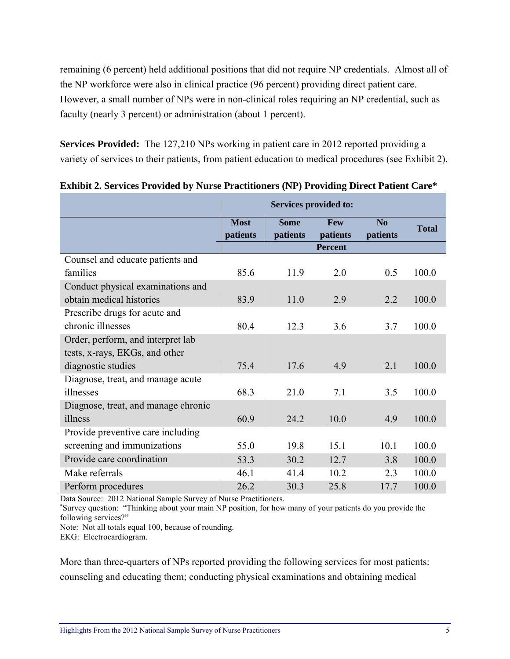remaining (6 percent) held additional positions that did not require NP credentials. Almost all of the NP workforce were also in clinical practice (96 percent) providing direct patient care. However, a small number of NPs were in non-clinical roles requiring an NP credential, such as faculty (nearly 3 percent) or administration (about 1 percent).

**Services Provided:** The 127,210 NPs working in patient care in 2012 reported providing a variety of services to their patients, from patient education to medical procedures (see Exhibit 2).

|                                     | <b>Services provided to:</b> |                         |                        |                            |              |
|-------------------------------------|------------------------------|-------------------------|------------------------|----------------------------|--------------|
|                                     | <b>Most</b><br>patients      | <b>Some</b><br>patients | <b>Few</b><br>patients | N <sub>0</sub><br>patients | <b>Total</b> |
|                                     |                              |                         | <b>Percent</b>         |                            |              |
| Counsel and educate patients and    |                              |                         |                        |                            |              |
| families                            | 85.6                         | 11.9                    | 2.0                    | 0.5                        | 100.0        |
| Conduct physical examinations and   |                              |                         |                        |                            |              |
| obtain medical histories            | 83.9                         | 11.0                    | 2.9                    | 2.2                        | 100.0        |
| Prescribe drugs for acute and       |                              |                         |                        |                            |              |
| chronic illnesses                   | 80.4                         | 12.3                    | 3.6                    | 3.7                        | 100.0        |
| Order, perform, and interpret lab   |                              |                         |                        |                            |              |
| tests, x-rays, EKGs, and other      |                              |                         |                        |                            |              |
| diagnostic studies                  | 75.4                         | 17.6                    | 4.9                    | 2.1                        | 100.0        |
| Diagnose, treat, and manage acute   |                              |                         |                        |                            |              |
| illnesses                           | 68.3                         | 21.0                    | 7.1                    | 3.5                        | 100.0        |
| Diagnose, treat, and manage chronic |                              |                         |                        |                            |              |
| illness                             | 60.9                         | 24.2                    | 10.0                   | 4.9                        | 100.0        |
| Provide preventive care including   |                              |                         |                        |                            |              |
| screening and immunizations         | 55.0                         | 19.8                    | 15.1                   | 10.1                       | 100.0        |
| Provide care coordination           | 53.3                         | 30.2                    | 12.7                   | 3.8                        | 100.0        |
| Make referrals                      | 46.1                         | 41.4                    | 10.2                   | 2.3                        | 100.0        |
| Perform procedures                  | 26.2                         | 30.3                    | 25.8                   | 17.7                       | 100.0        |

#### **Exhibit 2. Services Provided by Nurse Practitioners (NP) Providing Direct Patient Care\***

Data Source: 2012 National Sample Survey of Nurse Practitioners.

\* Survey question: "Thinking about your main NP position, for how many of your patients do you provide the following services?"

Note: Not all totals equal 100, because of rounding.

EKG: Electrocardiogram.

More than three-quarters of NPs reported providing the following services for most patients: counseling and educating them; conducting physical examinations and obtaining medical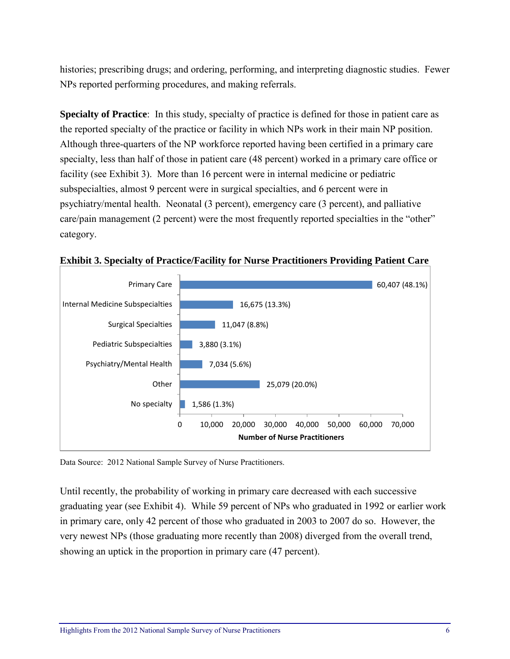histories; prescribing drugs; and ordering, performing, and interpreting diagnostic studies. Fewer NPs reported performing procedures, and making referrals.

**Specialty of Practice**: In this study, specialty of practice is defined for those in patient care as the reported specialty of the practice or facility in which NPs work in their main NP position. Although three-quarters of the NP workforce reported having been certified in a primary care specialty, less than half of those in patient care (48 percent) worked in a primary care office or facility (see Exhibit 3). More than 16 percent were in internal medicine or pediatric subspecialties, almost 9 percent were in surgical specialties, and 6 percent were in psychiatry/mental health. Neonatal (3 percent), emergency care (3 percent), and palliative care/pain management (2 percent) were the most frequently reported specialties in the "other" category.



**Exhibit 3. Specialty of Practice/Facility for Nurse Practitioners Providing Patient Care** 

Data Source: 2012 National Sample Survey of Nurse Practitioners.

Until recently, the probability of working in primary care decreased with each successive graduating year (see Exhibit 4). While 59 percent of NPs who graduated in 1992 or earlier work in primary care, only 42 percent of those who graduated in 2003 to 2007 do so. However, the very newest NPs (those graduating more recently than 2008) diverged from the overall trend, showing an uptick in the proportion in primary care (47 percent).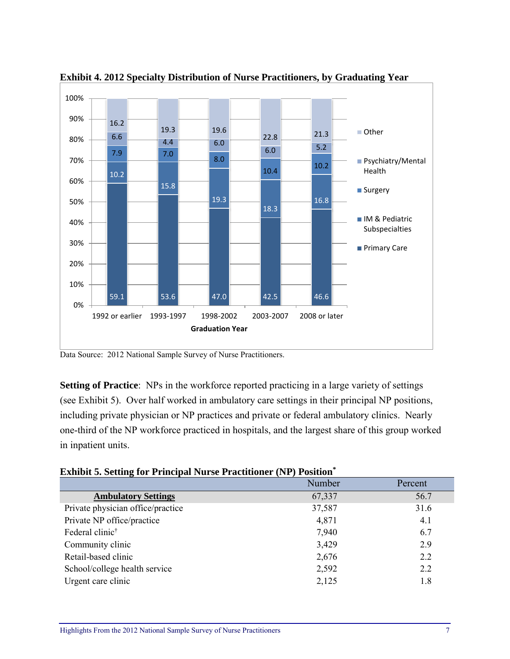

**Exhibit 4. 2012 Specialty Distribution of Nurse Practitioners, by Graduating Year**

Data Source: 2012 National Sample Survey of Nurse Practitioners.

**Setting of Practice**: NPs in the workforce reported practicing in a large variety of settings (see Exhibit 5). Over half worked in ambulatory care settings in their principal NP positions, including private physician or NP practices and private or federal ambulatory clinics. Nearly one-third of the NP workforce practiced in hospitals, and the largest share of this group worked in inpatient units.

| <b>Exhibit 5. Setting for Principal Nurse Practitioner (NP) Position*</b> |  |  |  |
|---------------------------------------------------------------------------|--|--|--|
|---------------------------------------------------------------------------|--|--|--|

|                                   | Number | Percent |
|-----------------------------------|--------|---------|
| <b>Ambulatory Settings</b>        | 67,337 | 56.7    |
| Private physician office/practice | 37,587 | 31.6    |
| Private NP office/practice        | 4,871  | 4.1     |
| Federal clinic <sup>†</sup>       | 7,940  | 6.7     |
| Community clinic                  | 3,429  | 2.9     |
| Retail-based clinic               | 2,676  | 2.2     |
| School/college health service     | 2,592  | 2.2     |
| Urgent care clinic                | 2,125  | 1.8     |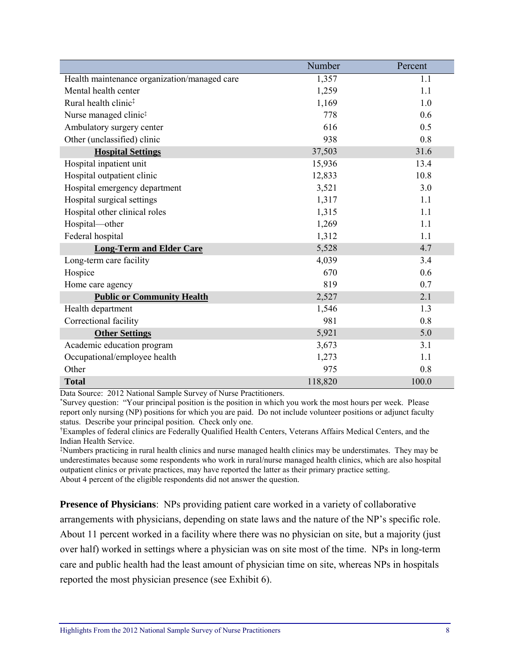|                                              | Number  | Percent |
|----------------------------------------------|---------|---------|
| Health maintenance organization/managed care | 1,357   | 1.1     |
| Mental health center                         | 1,259   | 1.1     |
| Rural health clinic <sup>#</sup>             | 1,169   | 1.0     |
| Nurse managed clinic <sup>#</sup>            | 778     | 0.6     |
| Ambulatory surgery center                    | 616     | 0.5     |
| Other (unclassified) clinic                  | 938     | 0.8     |
| <b>Hospital Settings</b>                     | 37,503  | 31.6    |
| Hospital inpatient unit                      | 15,936  | 13.4    |
| Hospital outpatient clinic                   | 12,833  | 10.8    |
| Hospital emergency department                | 3,521   | 3.0     |
| Hospital surgical settings                   | 1,317   | 1.1     |
| Hospital other clinical roles                | 1,315   | 1.1     |
| Hospital-other                               | 1,269   | 1.1     |
| Federal hospital                             | 1,312   | 1.1     |
| <b>Long-Term and Elder Care</b>              | 5,528   | 4.7     |
| Long-term care facility                      | 4,039   | 3.4     |
| Hospice                                      | 670     | 0.6     |
| Home care agency                             | 819     | 0.7     |
| <b>Public or Community Health</b>            | 2,527   | 2.1     |
| Health department                            | 1,546   | 1.3     |
| Correctional facility                        | 981     | 0.8     |
| <b>Other Settings</b>                        | 5,921   | 5.0     |
| Academic education program                   | 3,673   | 3.1     |
| Occupational/employee health                 | 1,273   | 1.1     |
| Other                                        | 975     | 0.8     |
| <b>Total</b>                                 | 118,820 | 100.0   |

Data Source: 2012 National Sample Survey of Nurse Practitioners.

\* Survey question: "Your principal position is the position in which you work the most hours per week. Please report only nursing (NP) positions for which you are paid. Do not include volunteer positions or adjunct faculty status. Describe your principal position. Check only one.

† Examples of federal clinics are Federally Qualified Health Centers, Veterans Affairs Medical Centers, and the Indian Health Service.

‡ Numbers practicing in rural health clinics and nurse managed health clinics may be understimates. They may be underestimates because some respondents who work in rural/nurse managed health clinics, which are also hospital outpatient clinics or private practices, may have reported the latter as their primary practice setting. About 4 percent of the eligible respondents did not answer the question.

**Presence of Physicians**: NPs providing patient care worked in a variety of collaborative

arrangements with physicians, depending on state laws and the nature of the NP's specific role. About 11 percent worked in a facility where there was no physician on site, but a majority (just over half) worked in settings where a physician was on site most of the time. NPs in long-term care and public health had the least amount of physician time on site, whereas NPs in hospitals reported the most physician presence (see Exhibit 6).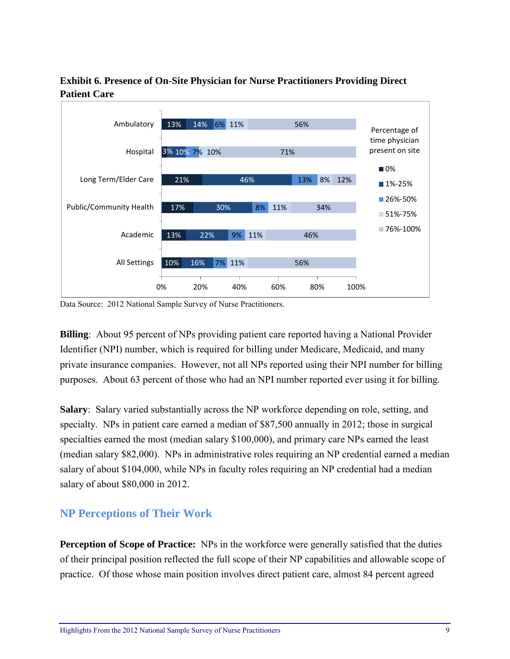

#### **Exhibit 6. Presence of On-Site Physician for Nurse Practitioners Providing Direct Patient Care**

Data Source: 2012 National Sample Survey of Nurse Practitioners.

**Billing**: About 95 percent of NPs providing patient care reported having a National Provider Identifier (NPI) number, which is required for billing under Medicare, Medicaid, and many private insurance companies. However, not all NPs reported using their NPI number for billing purposes. About 63 percent of those who had an NPI number reported ever using it for billing.

**Salary**: Salary varied substantially across the NP workforce depending on role, setting, and specialty. NPs in patient care earned a median of \$87,500 annually in 2012; those in surgical specialties earned the most (median salary \$100,000), and primary care NPs earned the least (median salary \$82,000). NPs in administrative roles requiring an NP credential earned a median salary of about \$104,000, while NPs in faculty roles requiring an NP credential had a median salary of about \$80,000 in 2012.

### **NP Perceptions of Their Work**

**Perception of Scope of Practice:** NPs in the workforce were generally satisfied that the duties of their principal position reflected the full scope of their NP capabilities and allowable scope of practice. Of those whose main position involves direct patient care, almost 84 percent agreed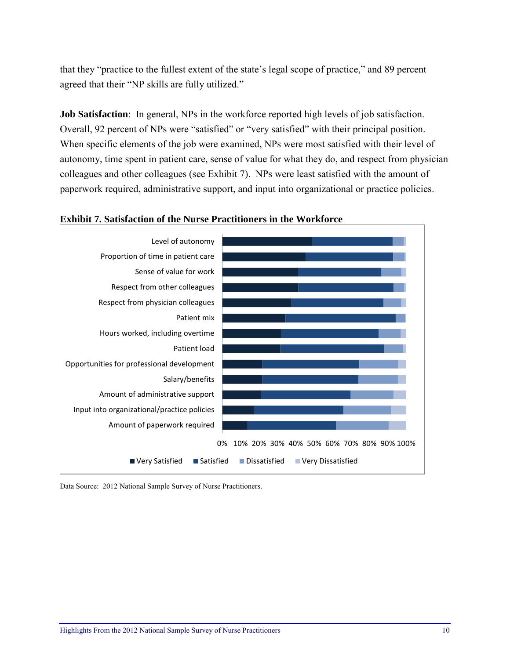that they "practice to the fullest extent of the state's legal scope of practice," and 89 percent agreed that their "NP skills are fully utilized."

**Job Satisfaction**: In general, NPs in the workforce reported high levels of job satisfaction. Overall, 92 percent of NPs were "satisfied" or "very satisfied" with their principal position. When specific elements of the job were examined, NPs were most satisfied with their level of autonomy, time spent in patient care, sense of value for what they do, and respect from physician colleagues and other colleagues (see Exhibit 7). NPs were least satisfied with the amount of paperwork required, administrative support, and input into organizational or practice policies.



#### **Exhibit 7. Satisfaction of the Nurse Practitioners in the Workforce**

Data Source: 2012 National Sample Survey of Nurse Practitioners.